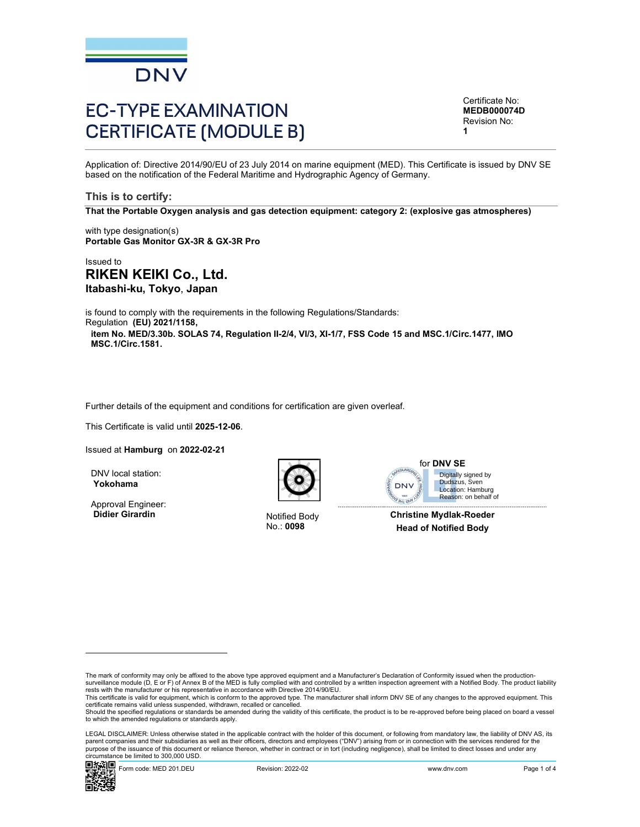

# EC-TYPE EXAMINATION CERTIFICATE (MODULE B)

Certificate No: MEDB000074D Revision No:  $1$  and  $1$  and  $1$  and  $1$  and  $1$  and  $1$  and  $1$  and  $1$  and  $1$  and  $1$  and  $1$  and  $1$  and  $1$  and  $1$  and  $1$  and  $1$  and  $1$  and  $1$  and  $1$  and  $1$  and  $1$  and  $1$  and  $1$  and  $1$  and  $1$  and  $1$  and  $1$  and  $1$  a

Application of: Directive 2014/90/EU of 23 July 2014 on marine equipment (MED). This Certificate is issued by DNV SE based on the notification of the Federal Maritime and Hydrographic Agency of Germany.

# This is to certify: That the Portable Oxygen analysis and gas detection equipment: category 2: (explosive gas atmospheres)

with type designation(s) Portable Gas Monitor GX-3R & GX-3R Pro

Issued to RIKEN KEIKI Co., Ltd. Itabashi-ku, Tokyo, Japan

is found to comply with the requirements in the following Regulations/Standards: Regulation (EU) 2021/1158, item No. MED/3.30b. SOLAS 74, Regulation II-2/4, VI/3, XI-1/7, FSS Code 15 and MSC.1/Circ.1477, IMO MSC.1/Circ.1581.

Further details of the equipment and conditions for certification are given overleaf.

This Certificate is valid until 2025-12-06.

Issued at Hamburg on 2022-02-21

DNV local station: Yokohama

Approval Engineer:<br>Didier Girardin

Notified Body

for DNV SE SAFEGUA Digitally signed by Dudszus, Sven **DN** Location: Hamburg Reason: on behalf of

No.: 0098 Head of Notified Body Christine Mydlak-Roeder

Form code: MED 201.<br>
Since the student of the student of the student of the student of the student of the student of the studient<br>
Collected Branch (Controllect Branch (Collection Controllect Branch (Collection Controllect LEGAL DISCLAIMER: Unless otherwise stated in the applicable contract with the holder of this document, or following from mandatory law, the liability of DNV AS, its parent companies and their subsidiaries as well as their officers, directors and employees ("DNV") arising from or in connection with the services rendered for the purpose of the issuance of this document or reliance thereon, whether in contract or in tort (including negligence), shall be limited to direct losses and under any parpose and codamed of the detailer.<br>circumstance be limited to 300,000 USD.



The mark of conformity may only be affixed to the above type approved equipment and a Manufacturer's Declaration of Conformity issued when the productionsurveillance module (D, E or F) of Annex B of the MED is fully complied with and controlled by a written inspection agreement with a Notified Body. The product liability<br>rests with the manufacturer or his representative in

This certificate is valid for equipment, which is conform to the approved type. The manufacturer shall inform DNV SE of any changes to the approved equipment. This certificate remains valid unless suspended, withdrawn, recalled or cancelled.

Should the specified regulations or standards be amended during the validity of this certificate, the product is to be re-approved before being placed on board a vessel to which the amended regulations or standards apply.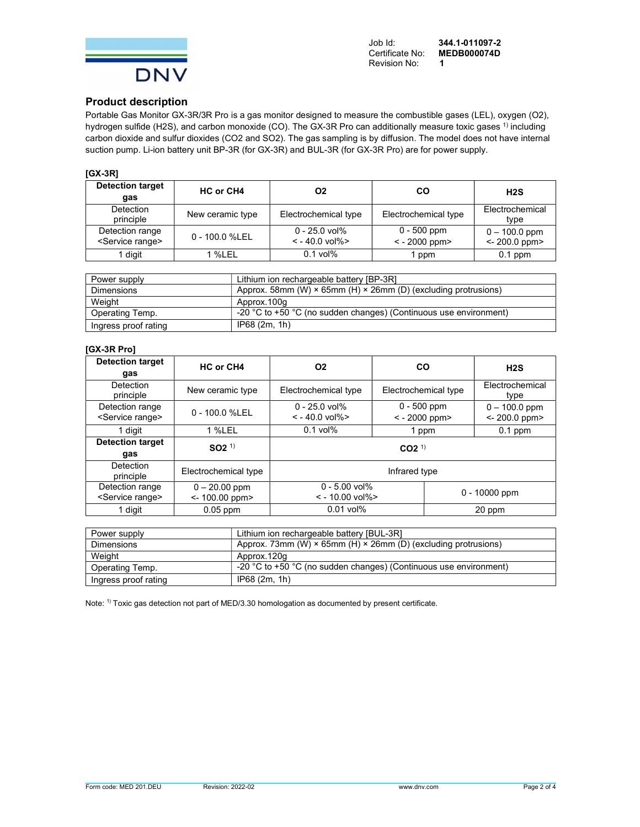

#### Product description

Portable Gas Monitor GX-3R/3R Pro is a gas monitor designed to measure the combustible gases (LEL), oxygen (O2), hydrogen sulfide (H2S), and carbon monoxide (CO). The GX-3R Pro can additionally measure toxic gases <sup>1)</sup> including carbon dioxide and sulfur dioxides (CO2 and SO2). The gas sampling is by diffusion. The model does not have internal suction pump. Li-ion battery unit BP-3R (for GX-3R) and BUL-3R (for GX-3R Pro) are for power supply.<br>[GX-3R]

| <b>Detection target</b><br>gas                  | HC or CH4        | O2                                  | CO                                  | H2S                                  |
|-------------------------------------------------|------------------|-------------------------------------|-------------------------------------|--------------------------------------|
| <b>Detection</b><br>principle                   | New ceramic type | Electrochemical type                | Electrochemical type                | Electrochemical<br>type              |
| Detection range<br><service range=""></service> | 0 - 100.0 %LEL   | $0 - 25.0$ vol%<br>$<$ - 40.0 vol%> | $0 - 500$ ppm<br>$<$ - 2000 ppm $>$ | $0 - 100.0$ ppm<br>$<$ 200.0 ppm $>$ |
| digit                                           | %LEL             | $0.1$ vol $%$                       | ppm                                 | $0.1$ ppm                            |

| Power supply         | Lithium ion rechargeable battery [BP-3R]                                     |
|----------------------|------------------------------------------------------------------------------|
| <b>Dimensions</b>    | Approx. 58mm (W) $\times$ 65mm (H) $\times$ 26mm (D) (excluding protrusions) |
| Weight               | Approx.100g                                                                  |
| Operating Temp.      | -20 °C to +50 °C (no sudden changes) (Continuous use environment)            |
| Ingress proof rating | IP68 (2m, 1h)                                                                |

#### [GX-3R Pro]

| <b>Detection target</b>                         | HC or CH4                             | <b>O2</b>                              | <b>CO</b>                           | H2S                                    |
|-------------------------------------------------|---------------------------------------|----------------------------------------|-------------------------------------|----------------------------------------|
| gas                                             |                                       |                                        |                                     |                                        |
| <b>Detection</b><br>principle                   | New ceramic type                      | Electrochemical type                   | Electrochemical type                | Electrochemical<br>type                |
| Detection range<br><service range=""></service> | 0 - 100.0 %LEL                        | $0 - 25.0$ vol%<br>$<$ - 40.0 vol%>    | $0 - 500$ ppm<br>$<$ - 2000 ppm $>$ | $0 - 100.0$ ppm<br>$<$ - 200.0 ppm $>$ |
| digit                                           | 1 % LEL                               | $0.1$ vol $%$                          | 1 ppm                               | $0.1$ ppm                              |
| <b>Detection target</b>                         | $SO2^{1}$                             | CO2 <sup>1</sup>                       |                                     |                                        |
| gas                                             |                                       |                                        |                                     |                                        |
| <b>Detection</b><br>principle                   | Electrochemical type                  | Infrared type                          |                                     |                                        |
| Detection range<br><service range=""></service> | $0 - 20.00$ ppm<br>$< 100.00$ ppm $>$ | $0 - 5.00$ vol%<br>$\le$ - 10.00 vol%> |                                     | $0 - 10000$ ppm                        |
| digit                                           | $0.05$ ppm                            | $0.01$ vol%                            |                                     | 20 ppm                                 |

| Power supply         | Lithium ion rechargeable battery [BUL-3R]                                             |
|----------------------|---------------------------------------------------------------------------------------|
| Dimensions           | Approx. 73mm (W) $\times$ 65mm (H) $\times$ 26mm (D) (excluding protrusions)          |
| Weight               | Approx.120g                                                                           |
| Operating Temp.      | -20 $^{\circ}$ C to +50 $^{\circ}$ C (no sudden changes) (Continuous use environment) |
| Ingress proof rating | IP68 (2m, 1h)                                                                         |

Note: 1) Toxic gas detection not part of MED/3.30 homologation as documented by present certificate.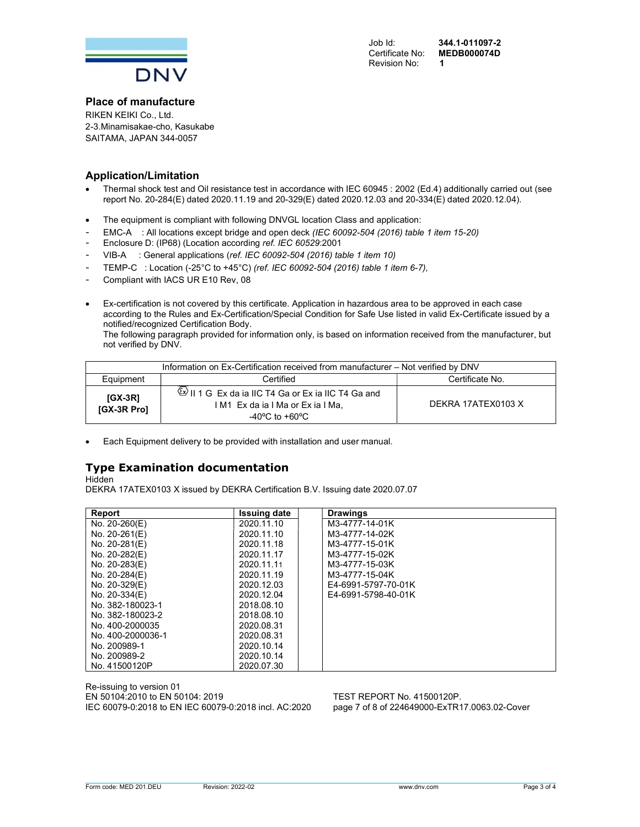

### Place of manufacture

RIKEN KEIKI Co., Ltd. 2-3.Minamisakae-cho, Kasukabe SAITAMA, JAPAN 344-0057

### Application/Limitation

- Thermal shock test and Oil resistance test in accordance with IEC 60945 : 2002 (Ed.4) additionally carried out (see report No. 20-284(E) dated 2020.11.19 and 20-329(E) dated 2020.12.03 and 20-334(E) dated 2020.12.04).
- The equipment is compliant with following DNVGL location Class and application:
- EMC-A : All locations except bridge and open deck (IEC 60092-504 (2016) table 1 item 15-20)
- Enclosure D: (IP68) (Location according ref. IEC 60529:2001
- VIB-A : General applications (ref. IEC 60092-504 (2016) table 1 item 10)
- TEMP-C : Location (-25°C to +45°C) (ref. IEC 60092-504 (2016) table 1 item 6-7),
- Compliant with IACS UR E10 Rev, 08
- Ex-certification is not covered by this certificate. Application in hazardous area to be approved in each case according to the Rules and Ex-Certification/Special Condition for Safe Use listed in valid Ex-Certificate issued by a notified/recognized Certification Body.

The following paragraph provided for information only, is based on information received from the manufacturer, but not verified by DNV.

| Information on Ex-Certification received from manufacturer – Not verified by DNV |                                                                                                                                  |                    |  |
|----------------------------------------------------------------------------------|----------------------------------------------------------------------------------------------------------------------------------|--------------------|--|
| Equipment                                                                        | Certified                                                                                                                        | Certificate No.    |  |
| <b>[GX-3R]</b><br>[GX-3R Pro]                                                    | $\&$   1 1 G Ex da ia IIC T4 Ga or Ex ia IIC T4 Ga and<br>IM1 Ex da ia IMa or Ex ia IMa.<br>-40 $^{\circ}$ C to +60 $^{\circ}$ C | DEKRA 17ATEX0103 X |  |

Each Equipment delivery to be provided with installation and user manual.

## Type Examination documentation

Hidden

DEKRA 17ATEX0103 X issued by DEKRA Certification B.V. Issuing date 2020.07.07

| Report            | <b>Issuing date</b> | <b>Drawings</b>     |
|-------------------|---------------------|---------------------|
| No. 20-260(E)     | 2020.11.10          | M3-4777-14-01K      |
| No. 20-261(E)     | 2020.11.10          | M3-4777-14-02K      |
| No. 20-281(E)     | 2020.11.18          | M3-4777-15-01K      |
| No. 20-282(E)     | 2020.11.17          | M3-4777-15-02K      |
| No. 20-283(E)     | 2020.11.11          | M3-4777-15-03K      |
| No. 20-284(E)     | 2020.11.19          | M3-4777-15-04K      |
| No. 20-329(E)     | 2020.12.03          | E4-6991-5797-70-01K |
| No. 20-334(E)     | 2020.12.04          | E4-6991-5798-40-01K |
| No. 382-180023-1  | 2018.08.10          |                     |
| No. 382-180023-2  | 2018.08.10          |                     |
| No. 400-2000035   | 2020.08.31          |                     |
| No. 400-2000036-1 | 2020.08.31          |                     |
| No. 200989-1      | 2020.10.14          |                     |
| No. 200989-2      | 2020.10.14          |                     |
| No. 41500120P     | 2020.07.30          |                     |

Re-issuing to version 01 EN 50104:2010 to EN 50104: 2019 TEST REPORT No. 41500120P. IEC 60079-0:2018 to EN IEC 60079-0:2018 incl. AC:2020 page 7 of 8 of 224649000-ExTR17.0063.02-Cover